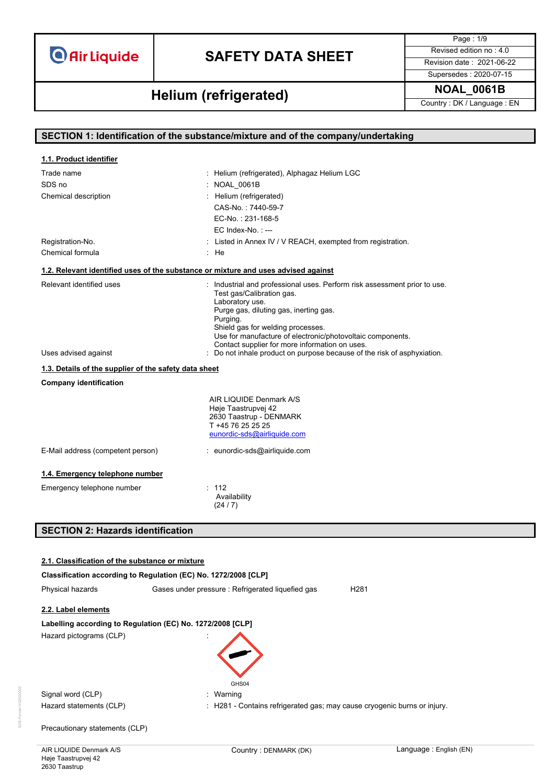# **SAFETY DATA SHEET** Revised edition no : 4.0

Supersedes : 2020-07-15

Page : 1/9

**NOAL\_0061B Helium (refrigerated)**

Country : DK / Language : EN

| SECTION 1: Identification of the substance/mixture and of the company/undertaking  |                                                                                                 |  |  |
|------------------------------------------------------------------------------------|-------------------------------------------------------------------------------------------------|--|--|
|                                                                                    |                                                                                                 |  |  |
| 1.1. Product identifier                                                            |                                                                                                 |  |  |
| Trade name                                                                         | : Helium (refrigerated), Alphagaz Helium LGC                                                    |  |  |
| SDS no                                                                             | : NOAL 0061B                                                                                    |  |  |
| Chemical description                                                               | : Helium (refrigerated)                                                                         |  |  |
|                                                                                    | CAS-No.: 7440-59-7                                                                              |  |  |
|                                                                                    | EC-No.: 231-168-5                                                                               |  |  |
|                                                                                    | EC Index-No.: ---                                                                               |  |  |
| Registration-No.                                                                   | : Listed in Annex IV / V REACH, exempted from registration.                                     |  |  |
| Chemical formula                                                                   | : He                                                                                            |  |  |
| 1.2. Relevant identified uses of the substance or mixture and uses advised against |                                                                                                 |  |  |
| Relevant identified uses                                                           | : Industrial and professional uses. Perform risk assessment prior to use.                       |  |  |
|                                                                                    | Test gas/Calibration gas.<br>Laboratory use.                                                    |  |  |
|                                                                                    | Purge gas, diluting gas, inerting gas.                                                          |  |  |
|                                                                                    | Purging.                                                                                        |  |  |
|                                                                                    | Shield gas for welding processes.<br>Use for manufacture of electronic/photovoltaic components. |  |  |
|                                                                                    | Contact supplier for more information on uses.                                                  |  |  |
| Uses advised against                                                               | : Do not inhale product on purpose because of the risk of asphyxiation.                         |  |  |
|                                                                                    | 1.3. Details of the supplier of the safety data sheet                                           |  |  |
| <b>Company identification</b>                                                      |                                                                                                 |  |  |
|                                                                                    | AIR LIQUIDE Denmark A/S                                                                         |  |  |
|                                                                                    | Høje Taastrupvej 42                                                                             |  |  |
|                                                                                    | 2630 Taastrup - DENMARK<br>T +45 76 25 25 25                                                    |  |  |
|                                                                                    | eunordic-sds@airliquide.com                                                                     |  |  |
| E-Mail address (competent person)                                                  | : eunordic-sds@airliquide.com                                                                   |  |  |
|                                                                                    |                                                                                                 |  |  |
| 1.4. Emergency telephone number                                                    |                                                                                                 |  |  |
| Emergency telephone number                                                         | : 112                                                                                           |  |  |
|                                                                                    | Availability<br>(24/7)                                                                          |  |  |
|                                                                                    |                                                                                                 |  |  |
| <b>SECTION 2: Hazards identification</b>                                           |                                                                                                 |  |  |
|                                                                                    |                                                                                                 |  |  |
|                                                                                    |                                                                                                 |  |  |
| 2.1. Classification of the substance or mixture                                    |                                                                                                 |  |  |

|                                | Classification according to Regulation (EC) No. 1272/2008 [CLP]          |                        |
|--------------------------------|--------------------------------------------------------------------------|------------------------|
| Physical hazards               | Gases under pressure : Refrigerated liquefied gas                        | H <sub>281</sub>       |
| 2.2. Label elements            |                                                                          |                        |
|                                | Labelling according to Regulation (EC) No. 1272/2008 [CLP]               |                        |
| Hazard pictograms (CLP)        | GHS04                                                                    |                        |
| Signal word (CLP)              | : Warning                                                                |                        |
| Hazard statements (CLP)        | : H281 - Contains refrigerated gas; may cause cryogenic burns or injury. |                        |
| Precautionary statements (CLP) |                                                                          |                        |
| AIR LIQUIDE Denmark A/S        | Country: DENMARK (DK)                                                    | Language: English (EN) |

SDS-Format HG2020002

DS-Format HG2

Høje Taastrupvej 42 2630 Taastrup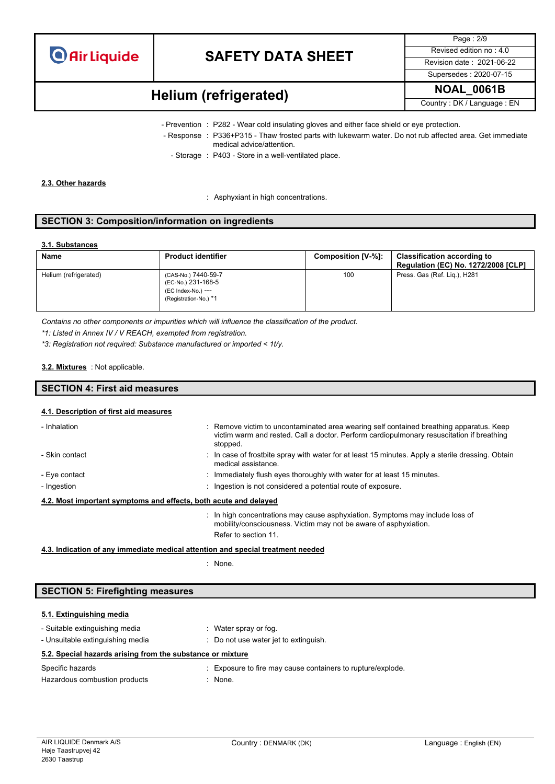

Page : 2/9 Supersedes : 2020-07-15

# **NOAL\_0061B Helium (refrigerated)**

Country : DK / Language : EN

- Prevention : P282 Wear cold insulating gloves and either face shield or eye protection.
	- Response : P336+P315 Thaw frosted parts with lukewarm water. Do not rub affected area. Get immediate medical advice/attention.
		- Storage : P403 Store in a well-ventilated place.

#### **2.3. Other hazards**

: Asphyxiant in high concentrations.

#### **SECTION 3: Composition/information on ingredients**

#### **3.1. Substances**

| Name                  | <b>Product identifier</b>                                                                | Composition [V-%]: | <b>Classification according to</b><br><b>Regulation (EC) No. 1272/2008 [CLP]</b> |
|-----------------------|------------------------------------------------------------------------------------------|--------------------|----------------------------------------------------------------------------------|
| Helium (refrigerated) | (CAS-No.) 7440-59-7<br>(EC-No.) 231-168-5<br>(EC Index-No.) ---<br>(Registration-No.) *1 | 100                | Press. Gas (Ref. Lig.), H281                                                     |

*Contains no other components or impurities which will influence the classification of the product.*

*\*1: Listed in Annex IV / V REACH, exempted from registration.*

*\*3: Registration not required: Substance manufactured or imported < 1t/y.*

#### : Not applicable. **3.2. Mixtures**

# **SECTION 4: First aid measures**

#### **4.1. Description of first aid measures**

| - Inhalation                                                     | : Remove victim to uncontaminated area wearing self contained breathing apparatus. Keep<br>victim warm and rested. Call a doctor. Perform cardiopulmonary resuscitation if breathing<br>stopped. |
|------------------------------------------------------------------|--------------------------------------------------------------------------------------------------------------------------------------------------------------------------------------------------|
| - Skin contact                                                   | : In case of frostbite spray with water for at least 15 minutes. Apply a sterile dressing. Obtain<br>medical assistance.                                                                         |
| - Eye contact                                                    | : Immediately flush eyes thoroughly with water for at least 15 minutes.                                                                                                                          |
| - Ingestion                                                      | : Ingestion is not considered a potential route of exposure.                                                                                                                                     |
| 4.2. Most important symptoms and effects, both acute and delayed |                                                                                                                                                                                                  |
|                                                                  | $\cdot$ In bigh concentrations may cause can violian. Cymptoms may include less of                                                                                                               |

: In high concentrations may cause asphyxiation. Symptoms may include loss of mobility/consciousness. Victim may not be aware of asphyxiation. Refer to section 11.

### **4.3. Indication of any immediate medical attention and special treatment needed**

: None.

#### **SECTION 5: Firefighting measures**

#### **5.1. Extinguishing media**

| - Suitable extinguishing media<br>- Unsuitable extinguishing media | Water spray or fog.<br>Do not use water jet to extinguish.  |
|--------------------------------------------------------------------|-------------------------------------------------------------|
| 5.2. Special hazards arising from the substance or mixture         |                                                             |
| Specific hazards                                                   | : Exposure to fire may cause containers to rupture/explode. |
| Hazardous combustion products                                      | : None.                                                     |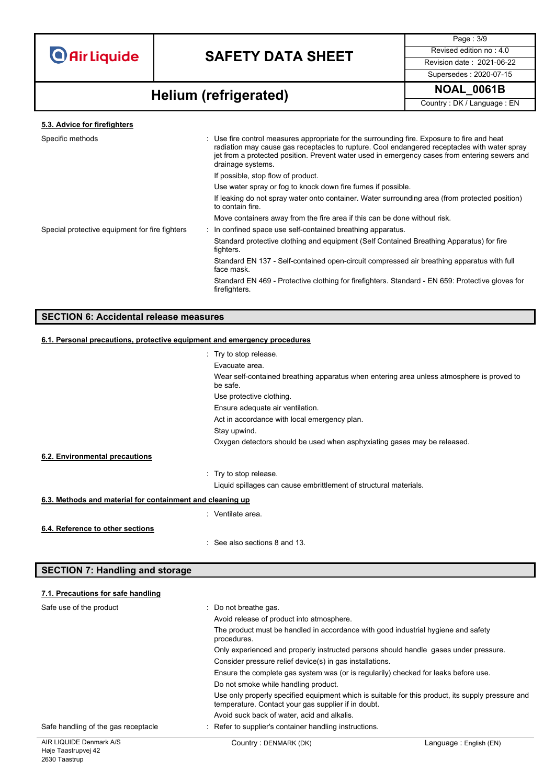

Page : 3/9 Supersedes : 2020-07-15

# **NOAL\_0061B Helium (refrigerated)**

Country : DK / Language : EN

```
5.3. Advice for firefighters
```

| Specific methods                               | : Use fire control measures appropriate for the surrounding fire. Exposure to fire and heat<br>radiation may cause gas receptacles to rupture. Cool endangered receptacles with water spray<br>jet from a protected position. Prevent water used in emergency cases from entering sewers and<br>drainage systems. |
|------------------------------------------------|-------------------------------------------------------------------------------------------------------------------------------------------------------------------------------------------------------------------------------------------------------------------------------------------------------------------|
|                                                | If possible, stop flow of product.                                                                                                                                                                                                                                                                                |
|                                                | Use water spray or fog to knock down fire fumes if possible.                                                                                                                                                                                                                                                      |
|                                                | If leaking do not spray water onto container. Water surrounding area (from protected position)<br>to contain fire.                                                                                                                                                                                                |
|                                                | Move containers away from the fire area if this can be done without risk.                                                                                                                                                                                                                                         |
| Special protective equipment for fire fighters | : In confined space use self-contained breathing apparatus.                                                                                                                                                                                                                                                       |
|                                                | Standard protective clothing and equipment (Self Contained Breathing Apparatus) for fire<br>fighters.                                                                                                                                                                                                             |
|                                                | Standard EN 137 - Self-contained open-circuit compressed air breathing apparatus with full<br>face mask.                                                                                                                                                                                                          |
|                                                | Standard EN 469 - Protective clothing for firefighters. Standard - EN 659: Protective gloves for<br>firefighters.                                                                                                                                                                                                 |
|                                                |                                                                                                                                                                                                                                                                                                                   |

#### **SECTION 6: Accidental release measures**

## **6.1. Personal precautions, protective equipment and emergency procedures** : Try to stop release. Evacuate area. Wear self-contained breathing apparatus when entering area unless atmosphere is proved to be safe. Use protective clothing. Ensure adequate air ventilation. Act in accordance with local emergency plan. Stay upwind. Oxygen detectors should be used when asphyxiating gases may be released. : Try to stop release. Liquid spillages can cause embrittlement of structural materials. **6.3. Methods and material for containment and cleaning up** : Ventilate area. : See also sections 8 and 13. **6.2. Environmental precautions 6.4. Reference to other sections**

### **SECTION 7: Handling and storage**

#### **7.1. Precautions for safe handling**

| Safe use of the product             | : Do not breathe gas.                                                                                                                                    |                        |  |
|-------------------------------------|----------------------------------------------------------------------------------------------------------------------------------------------------------|------------------------|--|
|                                     | Avoid release of product into atmosphere.                                                                                                                |                        |  |
|                                     | The product must be handled in accordance with good industrial hygiene and safety<br>procedures.                                                         |                        |  |
|                                     | Only experienced and properly instructed persons should handle gases under pressure.                                                                     |                        |  |
|                                     | Consider pressure relief device(s) in gas installations.                                                                                                 |                        |  |
|                                     | Ensure the complete gas system was (or is regularily) checked for leaks before use.                                                                      |                        |  |
|                                     | Do not smoke while handling product.                                                                                                                     |                        |  |
|                                     | Use only properly specified equipment which is suitable for this product, its supply pressure and<br>temperature. Contact your gas supplier if in doubt. |                        |  |
|                                     | Avoid suck back of water, acid and alkalis.                                                                                                              |                        |  |
| Safe handling of the gas receptacle | Refer to supplier's container handling instructions.                                                                                                     |                        |  |
| AIR LIQUIDE Denmark A/S             | Country: DENMARK (DK)                                                                                                                                    | Language: English (EN) |  |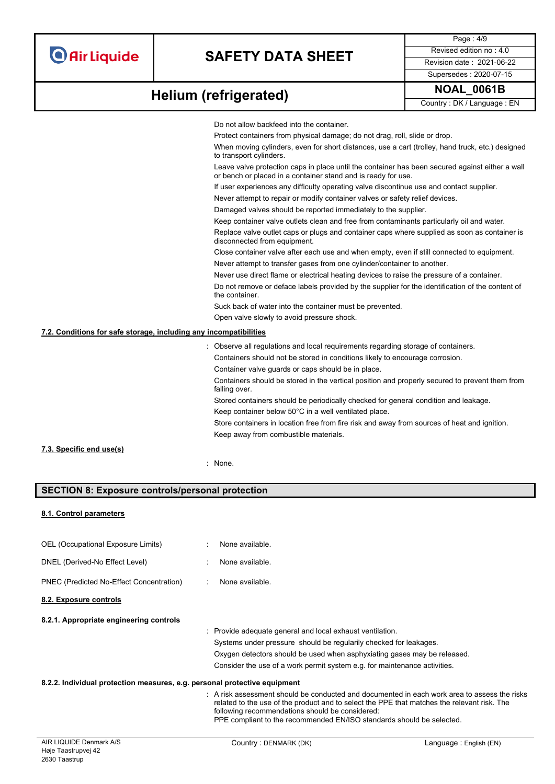Page : 4/9 Supersedes : 2020-07-15

# **NOAL\_0061B Helium (refrigerated)**

Country : DK / Language : EN

|                                                                   | Do not allow backfeed into the container.                                                                                                                        |
|-------------------------------------------------------------------|------------------------------------------------------------------------------------------------------------------------------------------------------------------|
|                                                                   | Protect containers from physical damage; do not drag, roll, slide or drop.                                                                                       |
|                                                                   | When moving cylinders, even for short distances, use a cart (trolley, hand truck, etc.) designed<br>to transport cylinders.                                      |
|                                                                   | Leave valve protection caps in place until the container has been secured against either a wall<br>or bench or placed in a container stand and is ready for use. |
|                                                                   | If user experiences any difficulty operating valve discontinue use and contact supplier.                                                                         |
|                                                                   | Never attempt to repair or modify container valves or safety relief devices.                                                                                     |
|                                                                   | Damaged valves should be reported immediately to the supplier.                                                                                                   |
|                                                                   | Keep container valve outlets clean and free from contaminants particularly oil and water.                                                                        |
|                                                                   | Replace valve outlet caps or plugs and container caps where supplied as soon as container is<br>disconnected from equipment.                                     |
|                                                                   | Close container valve after each use and when empty, even if still connected to equipment.                                                                       |
|                                                                   | Never attempt to transfer gases from one cylinder/container to another.                                                                                          |
|                                                                   | Never use direct flame or electrical heating devices to raise the pressure of a container.                                                                       |
|                                                                   | Do not remove or deface labels provided by the supplier for the identification of the content of<br>the container.                                               |
|                                                                   | Suck back of water into the container must be prevented.                                                                                                         |
|                                                                   | Open valve slowly to avoid pressure shock.                                                                                                                       |
| 7.2. Conditions for safe storage, including any incompatibilities |                                                                                                                                                                  |
|                                                                   | : Observe all regulations and local requirements regarding storage of containers.                                                                                |
|                                                                   | Containers should not be stored in conditions likely to encourage corrosion.                                                                                     |
|                                                                   | Container valve guards or caps should be in place.                                                                                                               |
|                                                                   | Containers should be stored in the vertical position and properly secured to prevent them from<br>falling over.                                                  |
|                                                                   | Stored containers should be periodically checked for general condition and leakage.                                                                              |
|                                                                   | Keep container below 50°C in a well ventilated place.                                                                                                            |
|                                                                   | Store containers in location free from fire risk and away from sources of heat and ignition.                                                                     |
|                                                                   | Keep away from combustible materials.                                                                                                                            |
| 7.3. Specific end use(s)                                          |                                                                                                                                                                  |
|                                                                   |                                                                                                                                                                  |
|                                                                   | : None.                                                                                                                                                          |
|                                                                   |                                                                                                                                                                  |

### **SECTION 8: Exposure controls/personal protection**

#### **8.1. Control parameters**

OEL (Occupational Exposure Limits) : None available. DNEL (Derived-No Effect Level) : None available. PNEC (Predicted No-Effect Concentration) : None available. **8.2. Exposure controls**

#### **8.2.1. Appropriate engineering controls**

: Provide adequate general and local exhaust ventilation. Systems under pressure should be regularily checked for leakages. Oxygen detectors should be used when asphyxiating gases may be released. Consider the use of a work permit system e.g. for maintenance activities.

#### **8.2.2. Individual protection measures, e.g. personal protective equipment**

: A risk assessment should be conducted and documented in each work area to assess the risks related to the use of the product and to select the PPE that matches the relevant risk. The following recommendations should be considered: PPE compliant to the recommended EN/ISO standards should be selected.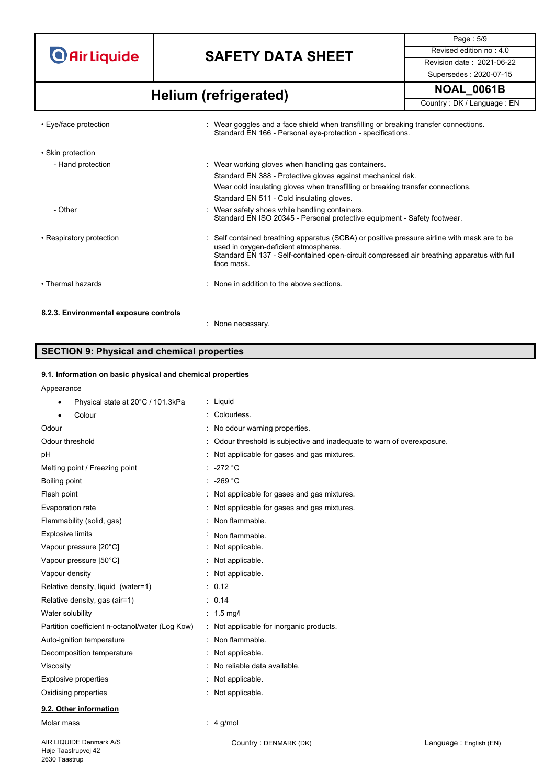# **SAFETY DATA SHEET** Revised edition no : 4.0

Page : 5/9 Supersedes : 2020-07-15

# **NOAL\_0061B Helium (refrigerated)**

Country : DK / Language : EN

| • Eye/face protection                  | : Wear goggles and a face shield when transfilling or breaking transfer connections.<br>Standard EN 166 - Personal eye-protection - specifications.                                                                                               |
|----------------------------------------|---------------------------------------------------------------------------------------------------------------------------------------------------------------------------------------------------------------------------------------------------|
| • Skin protection                      |                                                                                                                                                                                                                                                   |
| - Hand protection                      | : Wear working gloves when handling gas containers.                                                                                                                                                                                               |
|                                        | Standard EN 388 - Protective gloves against mechanical risk.                                                                                                                                                                                      |
|                                        | Wear cold insulating gloves when transfilling or breaking transfer connections.                                                                                                                                                                   |
|                                        | Standard EN 511 - Cold insulating gloves.                                                                                                                                                                                                         |
| - Other                                | : Wear safety shoes while handling containers.<br>Standard EN ISO 20345 - Personal protective equipment - Safety footwear.                                                                                                                        |
| • Respiratory protection               | : Self contained breathing apparatus (SCBA) or positive pressure airline with mask are to be<br>used in oxygen-deficient atmospheres.<br>Standard EN 137 - Self-contained open-circuit compressed air breathing apparatus with full<br>face mask. |
| • Thermal hazards                      | : None in addition to the above sections.                                                                                                                                                                                                         |
| 8.2.3. Environmental exposure controls |                                                                                                                                                                                                                                                   |
|                                        | : None necessarv.                                                                                                                                                                                                                                 |

## **SECTION 9: Physical and chemical properties**

### **9.1. Information on basic physical and chemical properties**

| Appearance |  |
|------------|--|

| Appearance                                      |                                                                       |
|-------------------------------------------------|-----------------------------------------------------------------------|
| Physical state at 20°C / 101.3kPa               | : Liquid                                                              |
| Colour                                          | Colourless.                                                           |
| Odour                                           | No odour warning properties.                                          |
| Odour threshold                                 | Odour threshold is subjective and inadequate to warn of overexposure. |
| pH                                              | : Not applicable for gases and gas mixtures.                          |
| Melting point / Freezing point                  | $-272 °C$                                                             |
| Boiling point                                   | -269 $^{\circ}$ C                                                     |
| Flash point                                     | Not applicable for gases and gas mixtures.                            |
| Evaporation rate                                | Not applicable for gases and gas mixtures.                            |
| Flammability (solid, gas)                       | Non flammable.                                                        |
| <b>Explosive limits</b>                         | Non flammable.                                                        |
| Vapour pressure [20°C]                          | Not applicable.                                                       |
| Vapour pressure [50°C]                          | Not applicable.                                                       |
| Vapour density                                  | Not applicable.                                                       |
| Relative density, liquid (water=1)              | : 0.12                                                                |
| Relative density, gas (air=1)                   | : 0.14                                                                |
| Water solubility                                | $: 1.5$ mg/                                                           |
| Partition coefficient n-octanol/water (Log Kow) | Not applicable for inorganic products.                                |
| Auto-ignition temperature                       | Non flammable.                                                        |
| Decomposition temperature                       | : Not applicable.                                                     |
| Viscosity                                       | No reliable data available.                                           |
| <b>Explosive properties</b>                     | Not applicable.                                                       |
| Oxidising properties                            | Not applicable.                                                       |
| 9.2. Other information                          |                                                                       |
| Molar mass                                      | $\therefore$ 4 g/mol                                                  |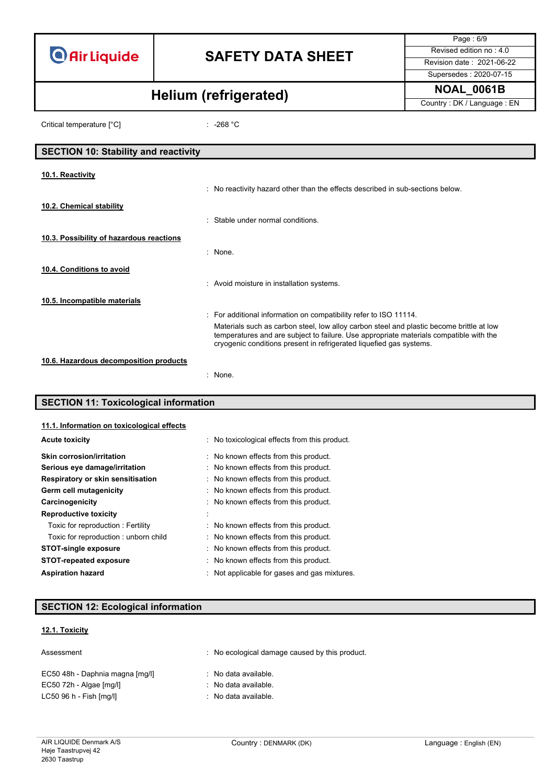# **SAFETY DATA SHEET** Revised edition no : 4.0

Page : 6/9 Supersedes : 2020-07-15

**NOAL\_0061B Helium (refrigerated)**

Country : DK / Language : EN

Critical temperature [°C] : -268 °C

| <b>SECTION 10: Stability and reactivity</b> |                                                                                                                                                                                                                                                           |
|---------------------------------------------|-----------------------------------------------------------------------------------------------------------------------------------------------------------------------------------------------------------------------------------------------------------|
| 10.1. Reactivity                            |                                                                                                                                                                                                                                                           |
|                                             | : No reactivity hazard other than the effects described in sub-sections below.                                                                                                                                                                            |
| 10.2. Chemical stability                    |                                                                                                                                                                                                                                                           |
|                                             | : Stable under normal conditions.                                                                                                                                                                                                                         |
| 10.3. Possibility of hazardous reactions    |                                                                                                                                                                                                                                                           |
|                                             | $:$ None.                                                                                                                                                                                                                                                 |
| 10.4. Conditions to avoid                   |                                                                                                                                                                                                                                                           |
|                                             | : Avoid moisture in installation systems.                                                                                                                                                                                                                 |
| 10.5. Incompatible materials                |                                                                                                                                                                                                                                                           |
|                                             | : For additional information on compatibility refer to ISO 11114.                                                                                                                                                                                         |
|                                             | Materials such as carbon steel, low alloy carbon steel and plastic become brittle at low<br>temperatures and are subject to failure. Use appropriate materials compatible with the<br>cryogenic conditions present in refrigerated liquefied gas systems. |
| 10.6. Hazardous decomposition products      |                                                                                                                                                                                                                                                           |
|                                             | : None.                                                                                                                                                                                                                                                   |

### **SECTION 11: Toxicological information**

| 11.1. Information on toxicological effects |                                              |
|--------------------------------------------|----------------------------------------------|
| <b>Acute toxicity</b>                      | No toxicological effects from this product.  |
| <b>Skin corrosion/irritation</b>           | : No known effects from this product.        |
| Serious eye damage/irritation              | : No known effects from this product.        |
| Respiratory or skin sensitisation          | : No known effects from this product.        |
| Germ cell mutagenicity                     | : No known effects from this product.        |
| Carcinogenicity                            | : No known effects from this product.        |
| <b>Reproductive toxicity</b>               |                                              |
| Toxic for reproduction: Fertility          | : No known effects from this product.        |
| Toxic for reproduction: unborn child       | : No known effects from this product.        |
| <b>STOT-single exposure</b>                | No known effects from this product.          |
| <b>STOT-repeated exposure</b>              | No known effects from this product.          |
| <b>Aspiration hazard</b>                   | : Not applicable for gases and gas mixtures. |

### **SECTION 12: Ecological information**

### **12.1. Toxicity**

Assessment **in the contract of the CO** is a No ecological damage caused by this product.

| EC50 48h - Daphnia magna [mg/l] | : No data available. |
|---------------------------------|----------------------|
| $EC50$ 72h - Algae $[mg/l]$     | : No data available. |
| LC50 96 h - Fish [mg/l]         | : No data available. |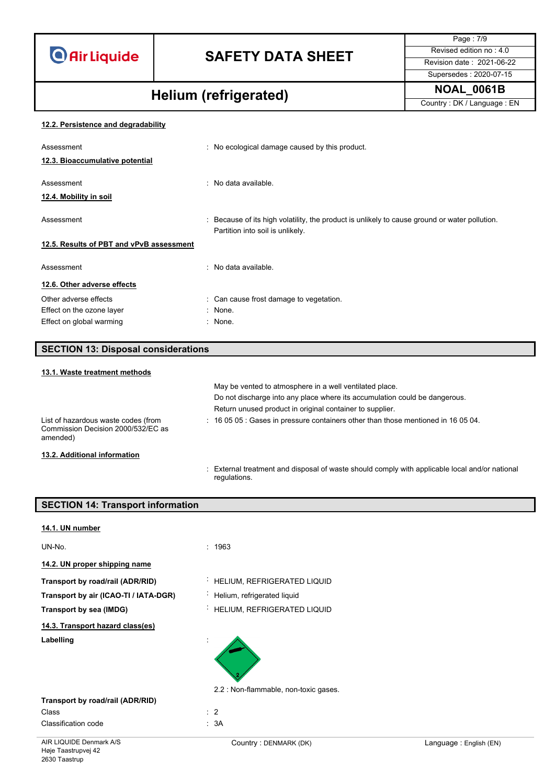# **SAFETY DATA SHEET** Revised edition no : 4.0

Supersedes : 2020-07-15

Page : 7/9

# **NOAL\_0061B Helium (refrigerated)**

Country : DK / Language : EN

### **12.2. Persistence and degradability**

| Assessment                               | : No ecological damage caused by this product.                                                                                    |
|------------------------------------------|-----------------------------------------------------------------------------------------------------------------------------------|
| 12.3. Bioaccumulative potential          |                                                                                                                                   |
| Assessment<br>12.4. Mobility in soil     | : No data available.                                                                                                              |
| Assessment                               | : Because of its high volatility, the product is unlikely to cause ground or water pollution.<br>Partition into soil is unlikely. |
| 12.5. Results of PBT and vPvB assessment |                                                                                                                                   |
| Assessment                               | : No data available.                                                                                                              |
| 12.6. Other adverse effects              |                                                                                                                                   |
| Other adverse effects                    | : Can cause frost damage to vegetation.                                                                                           |
| Effect on the ozone layer                | : None.                                                                                                                           |
| Effect on global warming                 | : None.                                                                                                                           |

| <b>SECTION 13: Disposal considerations</b>                                            |                                                                                                         |
|---------------------------------------------------------------------------------------|---------------------------------------------------------------------------------------------------------|
| 13.1. Waste treatment methods                                                         |                                                                                                         |
|                                                                                       | May be vented to atmosphere in a well ventilated place.                                                 |
|                                                                                       | Do not discharge into any place where its accumulation could be dangerous.                              |
|                                                                                       | Return unused product in original container to supplier.                                                |
| List of hazardous waste codes (from<br>Commission Decision 2000/532/EC as<br>amended) | $\therefore$ 16 05 05 $\therefore$ Gases in pressure containers other than those mentioned in 16 05 04. |
| 13.2. Additional information                                                          |                                                                                                         |

: External treatment and disposal of waste should comply with applicable local and/or national regulations.

| <b>SECTION 14: Transport information</b> |                                       |                        |
|------------------------------------------|---------------------------------------|------------------------|
| 14.1. UN number                          |                                       |                        |
| UN-No.                                   | : 1963                                |                        |
| 14.2. UN proper shipping name            |                                       |                        |
| Transport by road/rail (ADR/RID)         | : HELIUM, REFRIGERATED LIQUID         |                        |
| Transport by air (ICAO-TI / IATA-DGR)    | Helium, refrigerated liquid           |                        |
| Transport by sea (IMDG)                  | HELIUM, REFRIGERATED LIQUID<br>÷.     |                        |
| 14.3. Transport hazard class(es)         |                                       |                        |
| Labelling                                |                                       |                        |
|                                          | 2.2 : Non-flammable, non-toxic gases. |                        |
| Transport by road/rail (ADR/RID)         |                                       |                        |
| Class                                    | $\therefore$ 2                        |                        |
| Classification code                      | : 3A                                  |                        |
| AIR LIQUIDE Denmark A/S                  | Country: DENMARK (DK)                 | Language: English (EN) |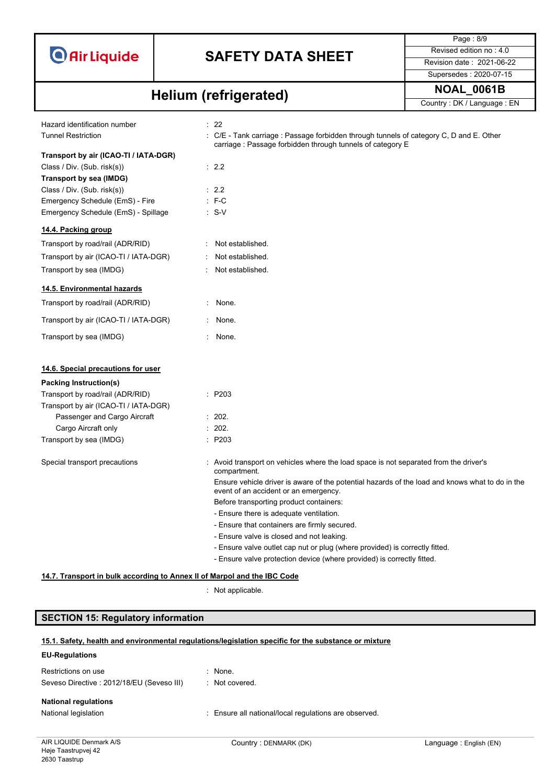

Supersedes : 2020-07-15

Page : 8/9

# **NOAL\_0061B Helium (refrigerated)**

| nanani (ramgaratag                                                       |                                                                                                                                                      | Country: DK / Language: EN |
|--------------------------------------------------------------------------|------------------------------------------------------------------------------------------------------------------------------------------------------|----------------------------|
| Hazard identification number                                             | : 22                                                                                                                                                 |                            |
| <b>Tunnel Restriction</b>                                                | : C/E - Tank carriage : Passage forbidden through tunnels of category C, D and E. Other<br>carriage: Passage forbidden through tunnels of category E |                            |
| Transport by air (ICAO-TI / IATA-DGR)                                    |                                                                                                                                                      |                            |
| Class / Div. (Sub. risk(s))                                              | : 2.2                                                                                                                                                |                            |
| Transport by sea (IMDG)                                                  |                                                                                                                                                      |                            |
| Class / Div. (Sub. risk(s))                                              | : 2.2                                                                                                                                                |                            |
| Emergency Schedule (EmS) - Fire                                          | $: F-C$                                                                                                                                              |                            |
| Emergency Schedule (EmS) - Spillage                                      | $: S-V$                                                                                                                                              |                            |
| 14.4. Packing group                                                      |                                                                                                                                                      |                            |
| Transport by road/rail (ADR/RID)                                         | Not established.                                                                                                                                     |                            |
| Transport by air (ICAO-TI / IATA-DGR)                                    | Not established.                                                                                                                                     |                            |
| Transport by sea (IMDG)                                                  | Not established.                                                                                                                                     |                            |
| 14.5. Environmental hazards                                              |                                                                                                                                                      |                            |
| Transport by road/rail (ADR/RID)                                         | None.                                                                                                                                                |                            |
| Transport by air (ICAO-TI / IATA-DGR)                                    | None.                                                                                                                                                |                            |
| Transport by sea (IMDG)                                                  | : None.                                                                                                                                              |                            |
| 14.6. Special precautions for user                                       |                                                                                                                                                      |                            |
|                                                                          |                                                                                                                                                      |                            |
| <b>Packing Instruction(s)</b>                                            |                                                                                                                                                      |                            |
| Transport by road/rail (ADR/RID)                                         | : P203                                                                                                                                               |                            |
| Transport by air (ICAO-TI / IATA-DGR)                                    | : 202.                                                                                                                                               |                            |
| Passenger and Cargo Aircraft<br>Cargo Aircraft only                      | : 202.                                                                                                                                               |                            |
| Transport by sea (IMDG)                                                  | : P203                                                                                                                                               |                            |
|                                                                          |                                                                                                                                                      |                            |
| Special transport precautions                                            | : Avoid transport on vehicles where the load space is not separated from the driver's<br>compartment.                                                |                            |
|                                                                          | Ensure vehicle driver is aware of the potential hazards of the load and knows what to do in the<br>event of an accident or an emergency.             |                            |
|                                                                          | Before transporting product containers:                                                                                                              |                            |
|                                                                          | - Ensure there is adequate ventilation.                                                                                                              |                            |
|                                                                          | - Ensure that containers are firmly secured.                                                                                                         |                            |
|                                                                          | - Ensure valve is closed and not leaking.                                                                                                            |                            |
|                                                                          | - Ensure valve outlet cap nut or plug (where provided) is correctly fitted.                                                                          |                            |
|                                                                          | - Ensure valve protection device (where provided) is correctly fitted.                                                                               |                            |
| 14.7. Transport in bulk according to Annex II of Marpol and the IBC Code |                                                                                                                                                      |                            |

: Not applicable.

### **SECTION 15: Regulatory information**

### **15.1. Safety, health and environmental regulations/legislation specific for the substance or mixture**

#### **EU-Regulations**

| Restrictions on use                       | $\therefore$ None.                                    |
|-------------------------------------------|-------------------------------------------------------|
| Seveso Directive: 2012/18/EU (Seveso III) | : Not covered.                                        |
| <b>National regulations</b>               |                                                       |
| National legislation                      | : Ensure all national/local regulations are observed. |